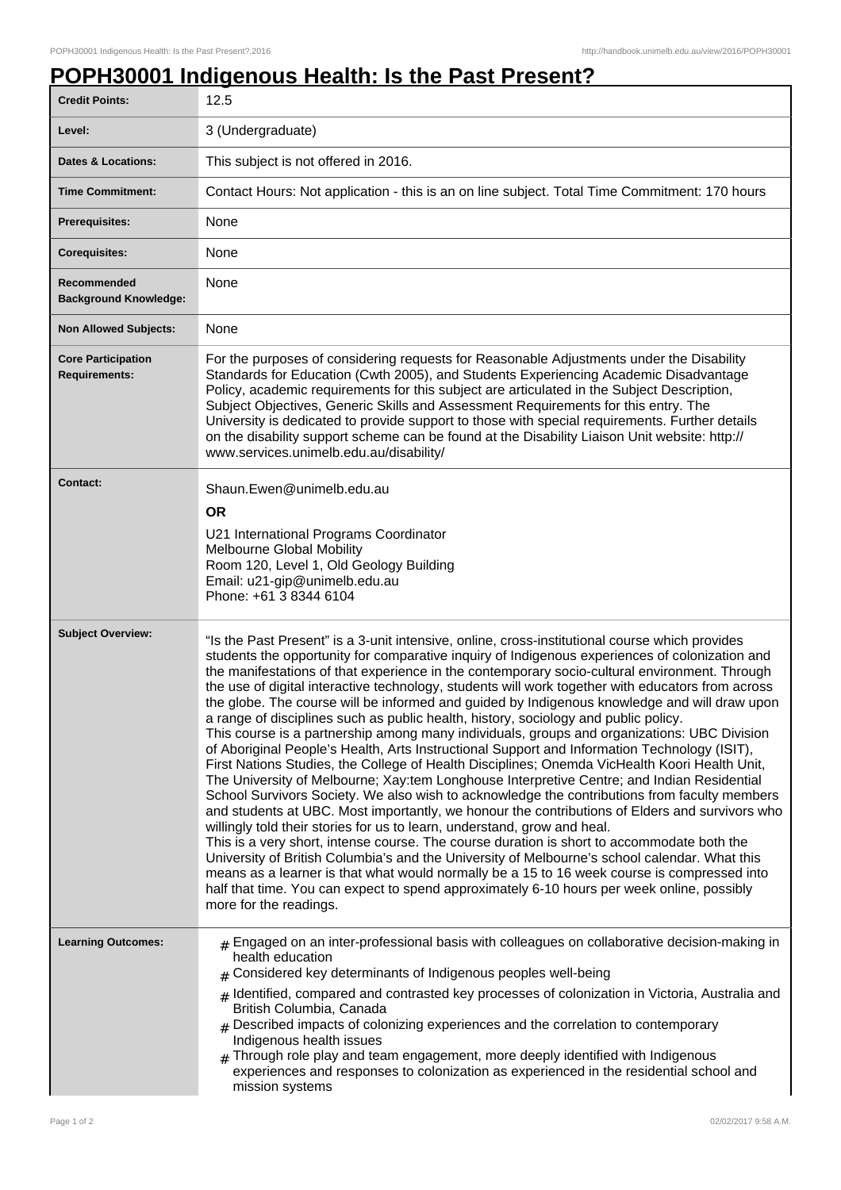## **POPH30001 Indigenous Health: Is the Past Present?**

| <b>Credit Points:</b>                             | 12.5                                                                                                                                                                                                                                                                                                                                                                                                                                                                                                                                                                                                                                                                                                                                                                                                                                                                                                                                                                                                                                                                                                                                                                                                                                                                                                                                                                                                                                                                                                                                                                                                                                                                                            |
|---------------------------------------------------|-------------------------------------------------------------------------------------------------------------------------------------------------------------------------------------------------------------------------------------------------------------------------------------------------------------------------------------------------------------------------------------------------------------------------------------------------------------------------------------------------------------------------------------------------------------------------------------------------------------------------------------------------------------------------------------------------------------------------------------------------------------------------------------------------------------------------------------------------------------------------------------------------------------------------------------------------------------------------------------------------------------------------------------------------------------------------------------------------------------------------------------------------------------------------------------------------------------------------------------------------------------------------------------------------------------------------------------------------------------------------------------------------------------------------------------------------------------------------------------------------------------------------------------------------------------------------------------------------------------------------------------------------------------------------------------------------|
| Level:                                            | 3 (Undergraduate)                                                                                                                                                                                                                                                                                                                                                                                                                                                                                                                                                                                                                                                                                                                                                                                                                                                                                                                                                                                                                                                                                                                                                                                                                                                                                                                                                                                                                                                                                                                                                                                                                                                                               |
| Dates & Locations:                                | This subject is not offered in 2016.                                                                                                                                                                                                                                                                                                                                                                                                                                                                                                                                                                                                                                                                                                                                                                                                                                                                                                                                                                                                                                                                                                                                                                                                                                                                                                                                                                                                                                                                                                                                                                                                                                                            |
| <b>Time Commitment:</b>                           | Contact Hours: Not application - this is an on line subject. Total Time Commitment: 170 hours                                                                                                                                                                                                                                                                                                                                                                                                                                                                                                                                                                                                                                                                                                                                                                                                                                                                                                                                                                                                                                                                                                                                                                                                                                                                                                                                                                                                                                                                                                                                                                                                   |
| <b>Prerequisites:</b>                             | None                                                                                                                                                                                                                                                                                                                                                                                                                                                                                                                                                                                                                                                                                                                                                                                                                                                                                                                                                                                                                                                                                                                                                                                                                                                                                                                                                                                                                                                                                                                                                                                                                                                                                            |
| <b>Corequisites:</b>                              | None                                                                                                                                                                                                                                                                                                                                                                                                                                                                                                                                                                                                                                                                                                                                                                                                                                                                                                                                                                                                                                                                                                                                                                                                                                                                                                                                                                                                                                                                                                                                                                                                                                                                                            |
| Recommended<br><b>Background Knowledge:</b>       | None                                                                                                                                                                                                                                                                                                                                                                                                                                                                                                                                                                                                                                                                                                                                                                                                                                                                                                                                                                                                                                                                                                                                                                                                                                                                                                                                                                                                                                                                                                                                                                                                                                                                                            |
| <b>Non Allowed Subjects:</b>                      | None                                                                                                                                                                                                                                                                                                                                                                                                                                                                                                                                                                                                                                                                                                                                                                                                                                                                                                                                                                                                                                                                                                                                                                                                                                                                                                                                                                                                                                                                                                                                                                                                                                                                                            |
| <b>Core Participation</b><br><b>Requirements:</b> | For the purposes of considering requests for Reasonable Adjustments under the Disability<br>Standards for Education (Cwth 2005), and Students Experiencing Academic Disadvantage<br>Policy, academic requirements for this subject are articulated in the Subject Description,<br>Subject Objectives, Generic Skills and Assessment Requirements for this entry. The<br>University is dedicated to provide support to those with special requirements. Further details<br>on the disability support scheme can be found at the Disability Liaison Unit website: http://<br>www.services.unimelb.edu.au/disability/                                                                                                                                                                                                                                                                                                                                                                                                                                                                                                                                                                                                                                                                                                                                                                                                                                                                                                                                                                                                                                                                              |
| <b>Contact:</b>                                   | Shaun.Ewen@unimelb.edu.au<br><b>OR</b><br>U21 International Programs Coordinator<br>Melbourne Global Mobility<br>Room 120, Level 1, Old Geology Building<br>Email: u21-gip@unimelb.edu.au<br>Phone: +61 3 8344 6104                                                                                                                                                                                                                                                                                                                                                                                                                                                                                                                                                                                                                                                                                                                                                                                                                                                                                                                                                                                                                                                                                                                                                                                                                                                                                                                                                                                                                                                                             |
| <b>Subject Overview:</b>                          | "Is the Past Present" is a 3-unit intensive, online, cross-institutional course which provides<br>students the opportunity for comparative inquiry of Indigenous experiences of colonization and<br>the manifestations of that experience in the contemporary socio-cultural environment. Through<br>the use of digital interactive technology, students will work together with educators from across<br>the globe. The course will be informed and guided by Indigenous knowledge and will draw upon<br>a range of disciplines such as public health, history, sociology and public policy.<br>This course is a partnership among many individuals, groups and organizations: UBC Division<br>of Aboriginal People's Health, Arts Instructional Support and Information Technology (ISIT),<br>First Nations Studies, the College of Health Disciplines; Onemda VicHealth Koori Health Unit,<br>The University of Melbourne; Xay:tem Longhouse Interpretive Centre; and Indian Residential<br>School Survivors Society. We also wish to acknowledge the contributions from faculty members<br>and students at UBC. Most importantly, we honour the contributions of Elders and survivors who<br>willingly told their stories for us to learn, understand, grow and heal.<br>This is a very short, intense course. The course duration is short to accommodate both the<br>University of British Columbia's and the University of Melbourne's school calendar. What this<br>means as a learner is that what would normally be a 15 to 16 week course is compressed into<br>half that time. You can expect to spend approximately 6-10 hours per week online, possibly<br>more for the readings. |
| <b>Learning Outcomes:</b>                         | $#$ Engaged on an inter-professional basis with colleagues on collaborative decision-making in<br>health education<br>Considered key determinants of Indigenous peoples well-being<br>Identified, compared and contrasted key processes of colonization in Victoria, Australia and<br>#<br>British Columbia, Canada<br>$#$ Described impacts of colonizing experiences and the correlation to contemporary<br>Indigenous health issues<br>$#$ Through role play and team engagement, more deeply identified with Indigenous<br>experiences and responses to colonization as experienced in the residential school and<br>mission systems                                                                                                                                                                                                                                                                                                                                                                                                                                                                                                                                                                                                                                                                                                                                                                                                                                                                                                                                                                                                                                                        |